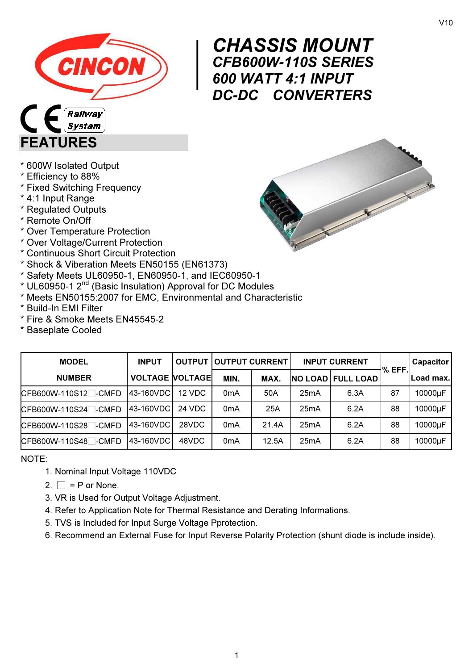

V10



# CHASSIS MOUNT<br>CFB600W-110S SERIES<br>600 WATT 4:1 INPUT CFB600W-110S SERIES 600 WATT 4:1 INPUT DC-DC CONVERTERS

#### \* 600W Isolated Output

\* Efficiency to 88%

FEATURES

\* Fixed Switching Frequency

**System** 

- \* 4:1 Input Range
- \* Regulated Outputs
- \* Remote On/Off
- \* Over Temperature Protection
- \* Over Voltage/Current Protection
- \* Continuous Short Circuit Protection
- \* Shock & Viberation Meets EN50155 (EN61373)
- \* Safety Meets UL60950-1, EN60950-1, and IEC60950-1
- \* UL60950-1 2<sup>nd</sup> (Basic Insulation) Approval for DC Modules
- \* Meets EN50155:2007 for EMC, Environmental and Characteristic
- \* Build-In EMI Filter
- \* Fire & Smoke Meets EN45545-2
- \* Baseplate Cooled

| <b>MODEL</b>                     | <b>INPUT</b>           |        | <b>OUTPUT OUTPUT CURRENT</b> |       |      | <b>INPUT CURRENT</b>     |         | <b>Capacitor</b> |
|----------------------------------|------------------------|--------|------------------------------|-------|------|--------------------------|---------|------------------|
| <b>NUMBER</b>                    | <b>VOLTAGE VOLTAGE</b> |        | MIN.                         | MAX.  |      | <b>NO LOAD FULL LOAD</b> | I% EFF. | Load max.        |
| CFB600W-110S12 <sup>-</sup> CMFD | 43-160VDC              | 12 VDC | 0 <sub>m</sub> A             | 50A   | 25mA | 6.3A                     | 87      | 10000µF          |
| CFB600W-110S24 -CMFD             | 43-160VDC              | 24 VDC | 0 <sub>m</sub> A             | 25A   | 25mA | 6.2A                     | 88      | 10000µF          |
| CFB600W-110S28 -CMFD             | 43-160VDC              | 28VDC  | 0 <sub>m</sub> A             | 21.4A | 25mA | 6.2A                     | 88      | 10000µF          |
| CFB600W-110S48 -CMFD             | 43-160VDC              | 48VDC  | 0 <sub>m</sub> A             | 12.5A | 25mA | 6.2A                     | 88      | 10000µF          |

NOTE:

- 1. Nominal Input Voltage 110VDC
- 2.  $\Box$  = P or None.
- 3. VR is Used for Output Voltage Adjustment.
- 4. Refer to Application Note for Thermal Resistance and Derating Informations.
- 5. TVS is Included for Input Surge Voltage Pprotection.
- 6. Recommend an External Fuse for Input Reverse Polarity Protection (shunt diode is include inside).